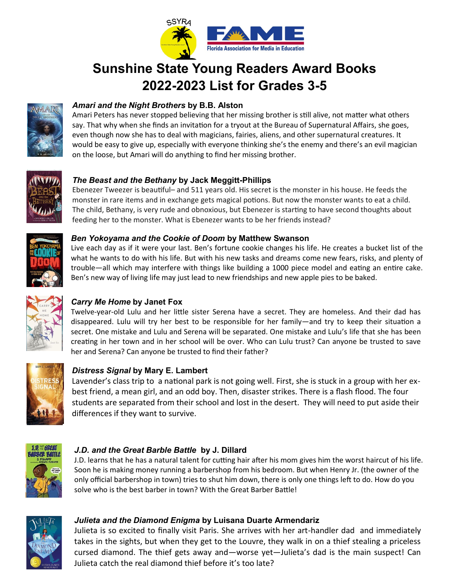

# **Sunshine State Young Readers Award Books 2022-2023 List for Grades 3-5**



# *Amari and the Night Brothers* **by B.B. Alston**

Amari Peters has never stopped believing that her missing brother is still alive, not matter what others say. That why when she finds an invitation for a tryout at the Bureau of Supernatural Affairs, she goes, even though now she has to deal with magicians, fairies, aliens, and other supernatural creatures. It would be easy to give up, especially with everyone thinking she's the enemy and there's an evil magician on the loose, but Amari will do anything to find her missing brother.



## *The Beast and the Bethany* **by Jack Meggitt-Phillips**

Ebenezer Tweezer is beautiful– and 511 years old. His secret is the monster in his house. He feeds the monster in rare items and in exchange gets magical potions. But now the monster wants to eat a child. The child, Bethany, is very rude and obnoxious, but Ebenezer is starting to have second thoughts about feeding her to the monster. What is Ebenezer wants to be her friends instead?



#### *Ben Yokoyama and the Cookie of Doom* **by Matthew Swanson**

Live each day as if it were your last. Ben's fortune cookie changes his life. He creates a bucket list of the what he wants to do with his life. But with his new tasks and dreams come new fears, risks, and plenty of trouble—all which may interfere with things like building a 1000 piece model and eating an entire cake. Ben's new way of living life may just lead to new friendships and new apple pies to be baked.



# *Carry Me Home* **by Janet Fox**

Twelve-year-old Lulu and her little sister Serena have a secret. They are homeless. And their dad has disappeared. Lulu will try her best to be responsible for her family—and try to keep their situation a secret. One mistake and Lulu and Serena will be separated. One mistake and Lulu's life that she has been creating in her town and in her school will be over. Who can Lulu trust? Can anyone be trusted to save her and Serena? Can anyone be trusted to find their father?



# *Distress Signal* **by Mary E. Lambert**

Lavender's class trip to a national park is not going well. First, she is stuck in a group with her exbest friend, a mean girl, and an odd boy. Then, disaster strikes. There is a flash flood. The four students are separated from their school and lost in the desert. They will need to put aside their differences if they want to survive.



## *J.D. and the Great Barble Battle* **by J. Dillard**

J.D. learns that he has a natural talent for cutting hair after his mom gives him the worst haircut of his life. Soon he is making money running a barbershop from his bedroom. But when Henry Jr. (the owner of the only official barbershop in town) tries to shut him down, there is only one things left to do. How do you solve who is the best barber in town? With the Great Barber Battle!



## *Julieta and the Diamond Enigma* **by Luisana Duarte Armendariz**

Julieta is so excited to finally visit Paris. She arrives with her art-handler dad and immediately takes in the sights, but when they get to the Louvre, they walk in on a thief stealing a priceless cursed diamond. The thief gets away and—worse yet—Julieta's dad is the main suspect! Can Julieta catch the real diamond thief before it's too late?